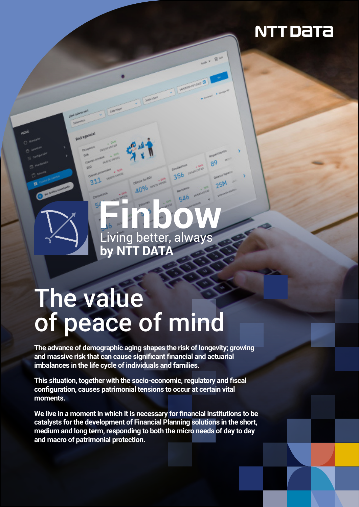# **NTT DaTa**

# Living better, always

356

546

 $25h$ 

# The value of peace of mind

**The advance of demographic aging shapes the risk of longevity; growing and massive risk that can cause significant financial and actuarial imbalances in the life cycle of individuals and families.**

**This situation, together with the socio-economic, regulatory and fiscal configuration, causes patrimonial tensions to occur at certain vital moments.**

**We live in a moment in which it is necessary for financial institutions to be catalysts for the development of Financial Planning solutions in the short, medium and long term, responding to both the micro needs of day to day and macro of patrimonial protection.**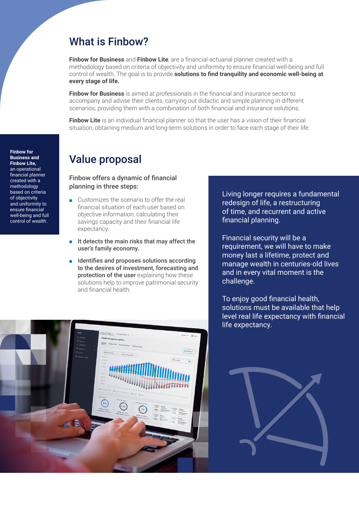# What is Finbow?

**Finbow for Business** and **Finbow Lite**, are a financial-actuarial planner created with a methodology based on criteria of objectivity and uniformity to ensure financial well-being and full control of wealth. The goal is to provide **solutions to find tranquility and economic well-being at every stage of life.**

**Finbow for Business** is aimed at professionals in the financial and insurance sector to accompany and advise their clients, carrying out didactic and simple planning in different scenarios, providing them with a combination of both financial and insurance solutions.

**Finbow Lite** is an individual financial planner so that the user has a vision of their financial situation, obtaining medium and long-term solutions in order to face each stage of their life.

# Value proposal

Finbow offers a dynamic of financial planning in three steps:

- $\ddot{\phantom{a}}$ Customizes the scenario to offer the real financial situation of each user based on objective information, calculating their savings capacity and their financial life expectancy.
- It detects the main risks that may affect the user's family economy.
- **•** Identifies and proposes solutions according to the desires of investment, forecasting and protection of the user explaining how these solutions help to improve patrimonial security and financial health.

Living longer requires a fundamental redesign of life, a restructuring of time, and recurrent and active financial planning.

Financial security will be a requirement, we will have to make money last a lifetime, protect and manage wealth in centuries-old lives and in every vital moment is the challenge.

To enjoy good financial health, solutions must be available that help level real life expectancy with financial life expectancy.





**Finbow for Business and Finbow Lite,**  an operational financial planner created with a methodology based on criteria of objectivity and uniformity to ensure financial well-being and full control of wealth.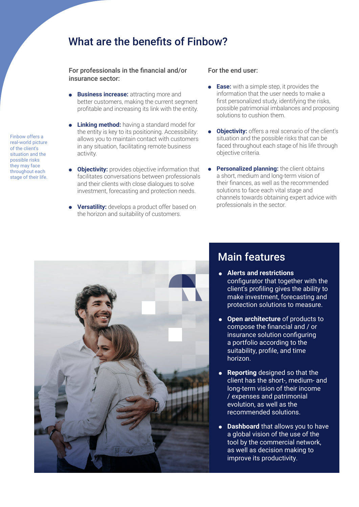### What are the benefits of Finbow?

For professionals in the financial and/or insurance sector:

- **Business increase:** attracting more and better customers, making the current segment profitable and increasing its link with the entity.
- **.** Linking method: having a standard model for the entity is key to its positioning. Accessibility: allows you to maintain contact with customers in any situation, facilitating remote business activity.
- **Objectivity:** provides objective information that facilitates conversations between professionals and their clients with close dialogues to solve investment, forecasting and protection needs.
- **Versatility:** develops a product offer based on the horizon and suitability of customers.

#### For the end user:

- **Ease:** with a simple step, it provides the  $\bullet$ information that the user needs to make a first personalized study, identifying the risks, possible patrimonial imbalances and proposing solutions to cushion them.
- **Objectivity:** offers a real scenario of the client's situation and the possible risks that can be faced throughout each stage of his life through objective criteria.
- **Personalized planning:** the client obtains a short, medium and long-term vision of their finances, as well as the recommended solutions to face each vital stage and channels towards obtaining expert advice with professionals in the sector.



# Main features

- **Alerts and restrictions**  configurator that together with the client's profiling gives the ability to make investment, forecasting and protection solutions to measure.
- **Open architecture** of products to compose the financial and / or insurance solution configuring a portfolio according to the suitability, profile, and time horizon.
- **Reporting** designed so that the client has the short-, medium- and long-term vision of their income / expenses and patrimonial evolution, as well as the recommended solutions.
- **Dashboard** that allows you to have a global vision of the use of the tool by the commercial network, as well as decision making to improve its productivity.

Finbow offers a real-world picture of the client's situation and the possible risks they may face throughout each stage of their life.